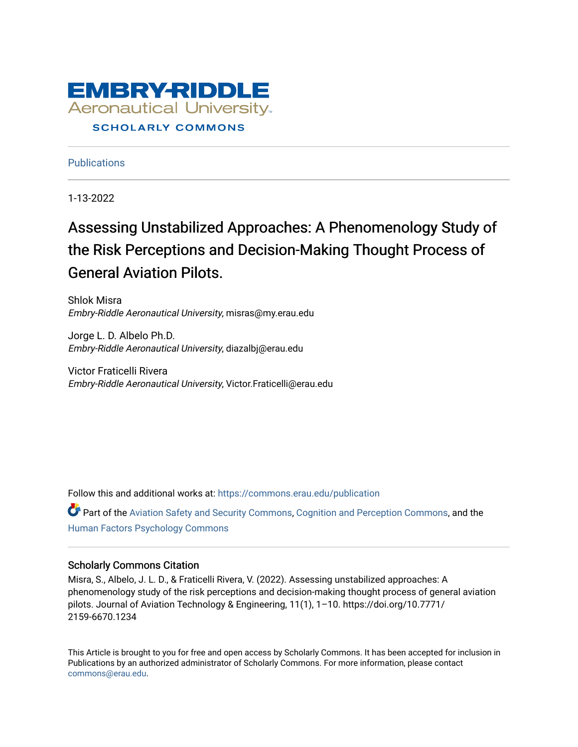

**Publications** 

1-13-2022

# Assessing Unstabilized Approaches: A Phenomenology Study of the Risk Perceptions and Decision-Making Thought Process of General Aviation Pilots.

Shlok Misra Embry-Riddle Aeronautical University, misras@my.erau.edu

Jorge L. D. Albelo Ph.D. Embry-Riddle Aeronautical University, diazalbj@erau.edu

Victor Fraticelli Rivera Embry-Riddle Aeronautical University, Victor.Fraticelli@erau.edu

Follow this and additional works at: [https://commons.erau.edu/publication](https://commons.erau.edu/publication?utm_source=commons.erau.edu%2Fpublication%2F1689&utm_medium=PDF&utm_campaign=PDFCoverPages) 

Part of the [Aviation Safety and Security Commons,](http://network.bepress.com/hgg/discipline/1320?utm_source=commons.erau.edu%2Fpublication%2F1689&utm_medium=PDF&utm_campaign=PDFCoverPages) [Cognition and Perception Commons,](http://network.bepress.com/hgg/discipline/407?utm_source=commons.erau.edu%2Fpublication%2F1689&utm_medium=PDF&utm_campaign=PDFCoverPages) and the [Human Factors Psychology Commons](http://network.bepress.com/hgg/discipline/1412?utm_source=commons.erau.edu%2Fpublication%2F1689&utm_medium=PDF&utm_campaign=PDFCoverPages)

## Scholarly Commons Citation

Misra, S., Albelo, J. L. D., & Fraticelli Rivera, V. (2022). Assessing unstabilized approaches: A phenomenology study of the risk perceptions and decision-making thought process of general aviation pilots. Journal of Aviation Technology & Engineering, 11(1), 1–10. https://doi.org/10.7771/ 2159-6670.1234

This Article is brought to you for free and open access by Scholarly Commons. It has been accepted for inclusion in Publications by an authorized administrator of Scholarly Commons. For more information, please contact [commons@erau.edu](mailto:commons@erau.edu).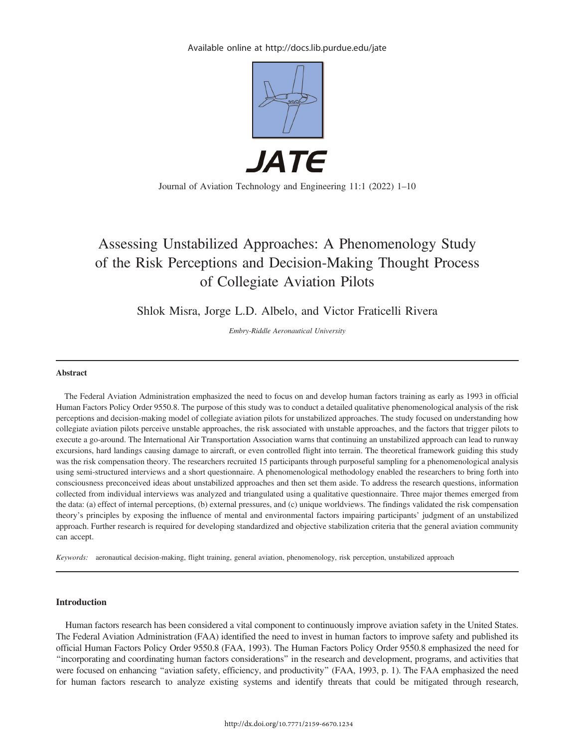Available online at http://docs.lib.purdue.edu/jate



## Journal of Aviation Technology and Engineering 11:1 (2022) 1–10

## Assessing Unstabilized Approaches: A Phenomenology Study of the Risk Perceptions and Decision-Making Thought Process of Collegiate Aviation Pilots

Shlok Misra, Jorge L.D. Albelo, and Victor Fraticelli Rivera

Embry-Riddle Aeronautical University

#### Abstract

The Federal Aviation Administration emphasized the need to focus on and develop human factors training as early as 1993 in official Human Factors Policy Order 9550.8. The purpose of this study was to conduct a detailed qualitative phenomenological analysis of the risk perceptions and decision-making model of collegiate aviation pilots for unstabilized approaches. The study focused on understanding how collegiate aviation pilots perceive unstable approaches, the risk associated with unstable approaches, and the factors that trigger pilots to execute a go-around. The International Air Transportation Association warns that continuing an unstabilized approach can lead to runway excursions, hard landings causing damage to aircraft, or even controlled flight into terrain. The theoretical framework guiding this study was the risk compensation theory. The researchers recruited 15 participants through purposeful sampling for a phenomenological analysis using semi-structured interviews and a short questionnaire. A phenomenological methodology enabled the researchers to bring forth into consciousness preconceived ideas about unstabilized approaches and then set them aside. To address the research questions, information collected from individual interviews was analyzed and triangulated using a qualitative questionnaire. Three major themes emerged from the data: (a) effect of internal perceptions, (b) external pressures, and (c) unique worldviews. The findings validated the risk compensation theory's principles by exposing the influence of mental and environmental factors impairing participants' judgment of an unstabilized approach. Further research is required for developing standardized and objective stabilization criteria that the general aviation community can accept.

Keywords: aeronautical decision-making, flight training, general aviation, phenomenology, risk perception, unstabilized approach

## Introduction

Human factors research has been considered a vital component to continuously improve aviation safety in the United States. The Federal Aviation Administration (FAA) identified the need to invest in human factors to improve safety and published its official Human Factors Policy Order 9550.8 (FAA, 1993). The Human Factors Policy Order 9550.8 emphasized the need for ''incorporating and coordinating human factors considerations'' in the research and development, programs, and activities that were focused on enhancing "aviation safety, efficiency, and productivity" (FAA, 1993, p. 1). The FAA emphasized the need for human factors research to analyze existing systems and identify threats that could be mitigated through research,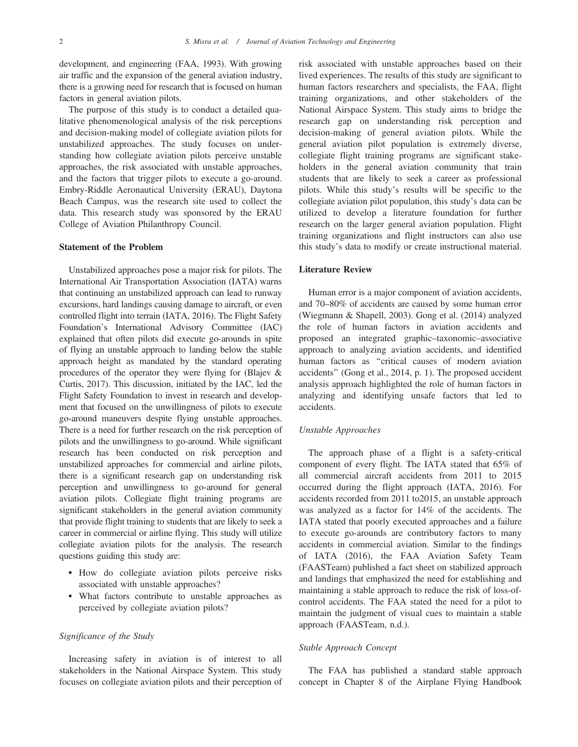development, and engineering (FAA, 1993). With growing air traffic and the expansion of the general aviation industry, there is a growing need for research that is focused on human factors in general aviation pilots.

The purpose of this study is to conduct a detailed qualitative phenomenological analysis of the risk perceptions and decision-making model of collegiate aviation pilots for unstabilized approaches. The study focuses on understanding how collegiate aviation pilots perceive unstable approaches, the risk associated with unstable approaches, and the factors that trigger pilots to execute a go-around. Embry-Riddle Aeronautical University (ERAU), Daytona Beach Campus, was the research site used to collect the data. This research study was sponsored by the ERAU College of Aviation Philanthropy Council.

## Statement of the Problem

Unstabilized approaches pose a major risk for pilots. The International Air Transportation Association (IATA) warns that continuing an unstabilized approach can lead to runway excursions, hard landings causing damage to aircraft, or even controlled flight into terrain (IATA, 2016). The Flight Safety Foundation's International Advisory Committee (IAC) explained that often pilots did execute go-arounds in spite of flying an unstable approach to landing below the stable approach height as mandated by the standard operating procedures of the operator they were flying for (Blajev & Curtis, 2017). This discussion, initiated by the IAC, led the Flight Safety Foundation to invest in research and development that focused on the unwillingness of pilots to execute go-around maneuvers despite flying unstable approaches. There is a need for further research on the risk perception of pilots and the unwillingness to go-around. While significant research has been conducted on risk perception and unstabilized approaches for commercial and airline pilots, there is a significant research gap on understanding risk perception and unwillingness to go-around for general aviation pilots. Collegiate flight training programs are significant stakeholders in the general aviation community that provide flight training to students that are likely to seek a career in commercial or airline flying. This study will utilize collegiate aviation pilots for the analysis. The research questions guiding this study are:

- How do collegiate aviation pilots perceive risks associated with unstable approaches?
- What factors contribute to unstable approaches as perceived by collegiate aviation pilots?

## Significance of the Study

Increasing safety in aviation is of interest to all stakeholders in the National Airspace System. This study focuses on collegiate aviation pilots and their perception of risk associated with unstable approaches based on their lived experiences. The results of this study are significant to human factors researchers and specialists, the FAA, flight training organizations, and other stakeholders of the National Airspace System. This study aims to bridge the research gap on understanding risk perception and decision-making of general aviation pilots. While the general aviation pilot population is extremely diverse, collegiate flight training programs are significant stakeholders in the general aviation community that train students that are likely to seek a career as professional pilots. While this study's results will be specific to the collegiate aviation pilot population, this study's data can be utilized to develop a literature foundation for further research on the larger general aviation population. Flight training organizations and flight instructors can also use this study's data to modify or create instructional material.

## Literature Review

Human error is a major component of aviation accidents, and 70–80% of accidents are caused by some human error (Wiegmann & Shapell, 2003). Gong et al. (2014) analyzed the role of human factors in aviation accidents and proposed an integrated graphic–taxonomic–associative approach to analyzing aviation accidents, and identified human factors as ''critical causes of modern aviation accidents'' (Gong et al., 2014, p. 1). The proposed accident analysis approach highlighted the role of human factors in analyzing and identifying unsafe factors that led to accidents.

## Unstable Approaches

The approach phase of a flight is a safety-critical component of every flight. The IATA stated that 65% of all commercial aircraft accidents from 2011 to 2015 occurred during the flight approach (IATA, 2016). For accidents recorded from 2011 to2015, an unstable approach was analyzed as a factor for 14% of the accidents. The IATA stated that poorly executed approaches and a failure to execute go-arounds are contributory factors to many accidents in commercial aviation. Similar to the findings of IATA (2016), the FAA Aviation Safety Team (FAASTeam) published a fact sheet on stabilized approach and landings that emphasized the need for establishing and maintaining a stable approach to reduce the risk of loss-ofcontrol accidents. The FAA stated the need for a pilot to maintain the judgment of visual cues to maintain a stable approach (FAASTeam, n.d.).

## Stable Approach Concept

The FAA has published a standard stable approach concept in Chapter 8 of the Airplane Flying Handbook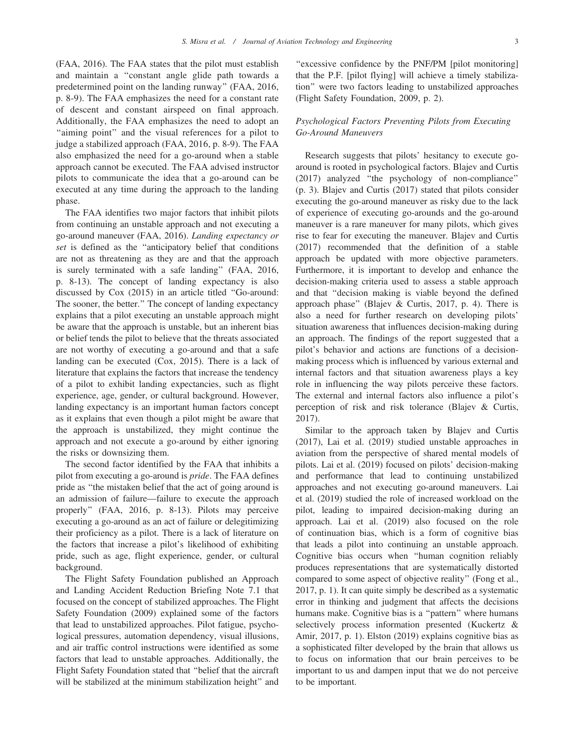(FAA, 2016). The FAA states that the pilot must establish and maintain a ''constant angle glide path towards a predetermined point on the landing runway'' (FAA, 2016, p. 8-9). The FAA emphasizes the need for a constant rate of descent and constant airspeed on final approach. Additionally, the FAA emphasizes the need to adopt an "aiming point" and the visual references for a pilot to judge a stabilized approach (FAA, 2016, p. 8-9). The FAA also emphasized the need for a go-around when a stable approach cannot be executed. The FAA advised instructor pilots to communicate the idea that a go-around can be executed at any time during the approach to the landing phase.

The FAA identifies two major factors that inhibit pilots from continuing an unstable approach and not executing a go-around maneuver (FAA, 2016). Landing expectancy or set is defined as the "anticipatory belief that conditions are not as threatening as they are and that the approach is surely terminated with a safe landing'' (FAA, 2016, p. 8-13). The concept of landing expectancy is also discussed by Cox (2015) in an article titled ''Go-around: The sooner, the better.'' The concept of landing expectancy explains that a pilot executing an unstable approach might be aware that the approach is unstable, but an inherent bias or belief tends the pilot to believe that the threats associated are not worthy of executing a go-around and that a safe landing can be executed (Cox, 2015). There is a lack of literature that explains the factors that increase the tendency of a pilot to exhibit landing expectancies, such as flight experience, age, gender, or cultural background. However, landing expectancy is an important human factors concept as it explains that even though a pilot might be aware that the approach is unstabilized, they might continue the approach and not execute a go-around by either ignoring the risks or downsizing them.

The second factor identified by the FAA that inhibits a pilot from executing a go-around is *pride*. The FAA defines pride as ''the mistaken belief that the act of going around is an admission of failure—failure to execute the approach properly'' (FAA, 2016, p. 8-13). Pilots may perceive executing a go-around as an act of failure or delegitimizing their proficiency as a pilot. There is a lack of literature on the factors that increase a pilot's likelihood of exhibiting pride, such as age, flight experience, gender, or cultural background.

The Flight Safety Foundation published an Approach and Landing Accident Reduction Briefing Note 7.1 that focused on the concept of stabilized approaches. The Flight Safety Foundation (2009) explained some of the factors that lead to unstabilized approaches. Pilot fatigue, psychological pressures, automation dependency, visual illusions, and air traffic control instructions were identified as some factors that lead to unstable approaches. Additionally, the Flight Safety Foundation stated that ''belief that the aircraft will be stabilized at the minimum stabilization height" and

''excessive confidence by the PNF/PM [pilot monitoring] that the P.F. [pilot flying] will achieve a timely stabilization'' were two factors leading to unstabilized approaches (Flight Safety Foundation, 2009, p. 2).

## Psychological Factors Preventing Pilots from Executing Go-Around Maneuvers

Research suggests that pilots' hesitancy to execute goaround is rooted in psychological factors. Blajev and Curtis (2017) analyzed ''the psychology of non-compliance'' (p. 3). Blajev and Curtis (2017) stated that pilots consider executing the go-around maneuver as risky due to the lack of experience of executing go-arounds and the go-around maneuver is a rare maneuver for many pilots, which gives rise to fear for executing the maneuver. Blajev and Curtis (2017) recommended that the definition of a stable approach be updated with more objective parameters. Furthermore, it is important to develop and enhance the decision-making criteria used to assess a stable approach and that ''decision making is viable beyond the defined approach phase'' (Blajev & Curtis, 2017, p. 4). There is also a need for further research on developing pilots' situation awareness that influences decision-making during an approach. The findings of the report suggested that a pilot's behavior and actions are functions of a decisionmaking process which is influenced by various external and internal factors and that situation awareness plays a key role in influencing the way pilots perceive these factors. The external and internal factors also influence a pilot's perception of risk and risk tolerance (Blajev & Curtis, 2017).

Similar to the approach taken by Blajev and Curtis (2017), Lai et al. (2019) studied unstable approaches in aviation from the perspective of shared mental models of pilots. Lai et al. (2019) focused on pilots' decision-making and performance that lead to continuing unstabilized approaches and not executing go-around maneuvers. Lai et al. (2019) studied the role of increased workload on the pilot, leading to impaired decision-making during an approach. Lai et al. (2019) also focused on the role of continuation bias, which is a form of cognitive bias that leads a pilot into continuing an unstable approach. Cognitive bias occurs when ''human cognition reliably produces representations that are systematically distorted compared to some aspect of objective reality'' (Fong et al., 2017, p. 1). It can quite simply be described as a systematic error in thinking and judgment that affects the decisions humans make. Cognitive bias is a "pattern" where humans selectively process information presented (Kuckertz & Amir, 2017, p. 1). Elston (2019) explains cognitive bias as a sophisticated filter developed by the brain that allows us to focus on information that our brain perceives to be important to us and dampen input that we do not perceive to be important.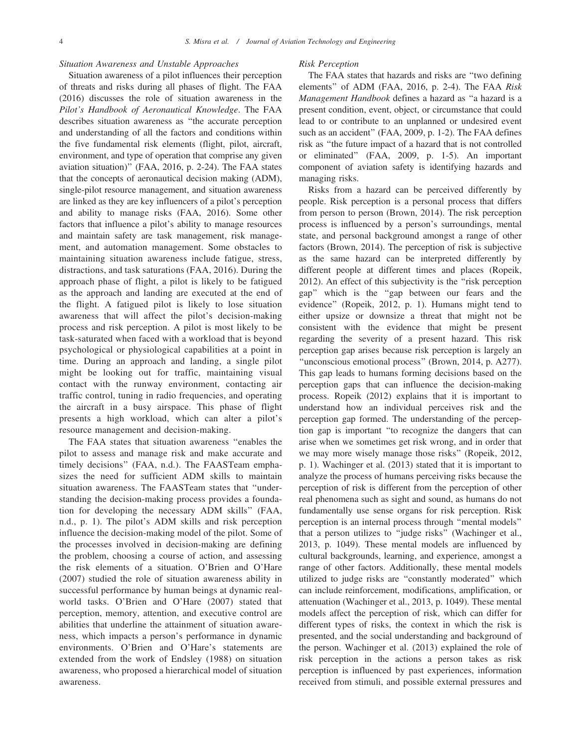#### Situation Awareness and Unstable Approaches

Situation awareness of a pilot influences their perception of threats and risks during all phases of flight. The FAA (2016) discusses the role of situation awareness in the Pilot's Handbook of Aeronautical Knowledge. The FAA describes situation awareness as ''the accurate perception and understanding of all the factors and conditions within the five fundamental risk elements (flight, pilot, aircraft, environment, and type of operation that comprise any given aviation situation)'' (FAA, 2016, p. 2-24). The FAA states that the concepts of aeronautical decision making (ADM), single-pilot resource management, and situation awareness are linked as they are key influencers of a pilot's perception and ability to manage risks (FAA, 2016). Some other factors that influence a pilot's ability to manage resources and maintain safety are task management, risk management, and automation management. Some obstacles to maintaining situation awareness include fatigue, stress, distractions, and task saturations (FAA, 2016). During the approach phase of flight, a pilot is likely to be fatigued as the approach and landing are executed at the end of the flight. A fatigued pilot is likely to lose situation awareness that will affect the pilot's decision-making process and risk perception. A pilot is most likely to be task-saturated when faced with a workload that is beyond psychological or physiological capabilities at a point in time. During an approach and landing, a single pilot might be looking out for traffic, maintaining visual contact with the runway environment, contacting air traffic control, tuning in radio frequencies, and operating the aircraft in a busy airspace. This phase of flight presents a high workload, which can alter a pilot's resource management and decision-making.

The FAA states that situation awareness ''enables the pilot to assess and manage risk and make accurate and timely decisions'' (FAA, n.d.). The FAASTeam emphasizes the need for sufficient ADM skills to maintain situation awareness. The FAASTeam states that ''understanding the decision-making process provides a foundation for developing the necessary ADM skills'' (FAA, n.d., p. 1). The pilot's ADM skills and risk perception influence the decision-making model of the pilot. Some of the processes involved in decision-making are defining the problem, choosing a course of action, and assessing the risk elements of a situation. O'Brien and O'Hare (2007) studied the role of situation awareness ability in successful performance by human beings at dynamic realworld tasks. O'Brien and O'Hare (2007) stated that perception, memory, attention, and executive control are abilities that underline the attainment of situation awareness, which impacts a person's performance in dynamic environments. O'Brien and O'Hare's statements are extended from the work of Endsley (1988) on situation awareness, who proposed a hierarchical model of situation awareness.

#### Risk Perception

The FAA states that hazards and risks are ''two defining elements'' of ADM (FAA, 2016, p. 2-4). The FAA Risk Management Handbook defines a hazard as ''a hazard is a present condition, event, object, or circumstance that could lead to or contribute to an unplanned or undesired event such as an accident" (FAA, 2009, p. 1-2). The FAA defines risk as ''the future impact of a hazard that is not controlled or eliminated'' (FAA, 2009, p. 1-5). An important component of aviation safety is identifying hazards and managing risks.

Risks from a hazard can be perceived differently by people. Risk perception is a personal process that differs from person to person (Brown, 2014). The risk perception process is influenced by a person's surroundings, mental state, and personal background amongst a range of other factors (Brown, 2014). The perception of risk is subjective as the same hazard can be interpreted differently by different people at different times and places (Ropeik, 2012). An effect of this subjectivity is the ''risk perception gap'' which is the ''gap between our fears and the evidence'' (Ropeik, 2012, p. 1). Humans might tend to either upsize or downsize a threat that might not be consistent with the evidence that might be present regarding the severity of a present hazard. This risk perception gap arises because risk perception is largely an ''unconscious emotional process'' (Brown, 2014, p. A277). This gap leads to humans forming decisions based on the perception gaps that can influence the decision-making process. Ropeik (2012) explains that it is important to understand how an individual perceives risk and the perception gap formed. The understanding of the perception gap is important ''to recognize the dangers that can arise when we sometimes get risk wrong, and in order that we may more wisely manage those risks'' (Ropeik, 2012, p. 1). Wachinger et al. (2013) stated that it is important to analyze the process of humans perceiving risks because the perception of risk is different from the perception of other real phenomena such as sight and sound, as humans do not fundamentally use sense organs for risk perception. Risk perception is an internal process through ''mental models'' that a person utilizes to ''judge risks'' (Wachinger et al., 2013, p. 1049). These mental models are influenced by cultural backgrounds, learning, and experience, amongst a range of other factors. Additionally, these mental models utilized to judge risks are ''constantly moderated'' which can include reinforcement, modifications, amplification, or attenuation (Wachinger et al., 2013, p. 1049). These mental models affect the perception of risk, which can differ for different types of risks, the context in which the risk is presented, and the social understanding and background of the person. Wachinger et al. (2013) explained the role of risk perception in the actions a person takes as risk perception is influenced by past experiences, information received from stimuli, and possible external pressures and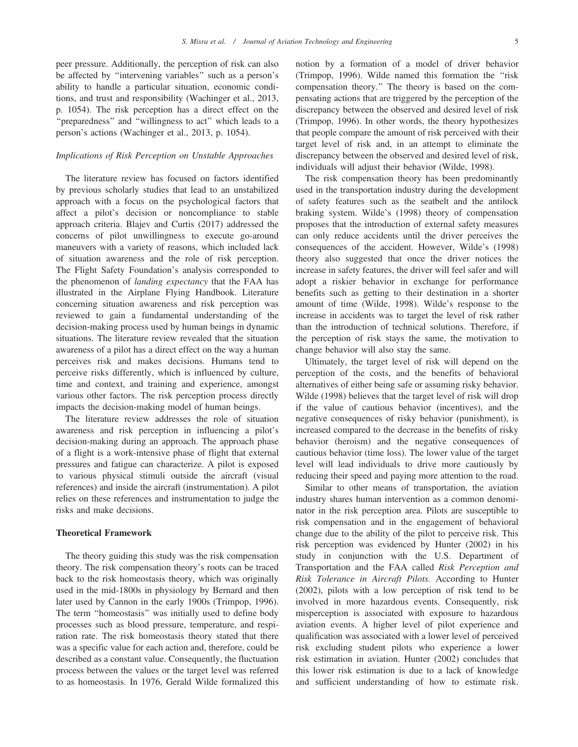peer pressure. Additionally, the perception of risk can also be affected by ''intervening variables'' such as a person's ability to handle a particular situation, economic conditions, and trust and responsibility (Wachinger et al., 2013, p. 1054). The risk perception has a direct effect on the ''preparedness'' and ''willingness to act'' which leads to a person's actions (Wachinger et al., 2013, p. 1054).

## Implications of Risk Perception on Unstable Approaches

The literature review has focused on factors identified by previous scholarly studies that lead to an unstabilized approach with a focus on the psychological factors that affect a pilot's decision or noncompliance to stable approach criteria. Blajev and Curtis (2017) addressed the concerns of pilot unwillingness to execute go-around maneuvers with a variety of reasons, which included lack of situation awareness and the role of risk perception. The Flight Safety Foundation's analysis corresponded to the phenomenon of landing expectancy that the FAA has illustrated in the Airplane Flying Handbook. Literature concerning situation awareness and risk perception was reviewed to gain a fundamental understanding of the decision-making process used by human beings in dynamic situations. The literature review revealed that the situation awareness of a pilot has a direct effect on the way a human perceives risk and makes decisions. Humans tend to perceive risks differently, which is influenced by culture, time and context, and training and experience, amongst various other factors. The risk perception process directly impacts the decision-making model of human beings.

The literature review addresses the role of situation awareness and risk perception in influencing a pilot's decision-making during an approach. The approach phase of a flight is a work-intensive phase of flight that external pressures and fatigue can characterize. A pilot is exposed to various physical stimuli outside the aircraft (visual references) and inside the aircraft (instrumentation). A pilot relies on these references and instrumentation to judge the risks and make decisions.

### Theoretical Framework

The theory guiding this study was the risk compensation theory. The risk compensation theory's roots can be traced back to the risk homeostasis theory, which was originally used in the mid-1800s in physiology by Bernard and then later used by Cannon in the early 1900s (Trimpop, 1996). The term ''homeostasis'' was initially used to define body processes such as blood pressure, temperature, and respiration rate. The risk homeostasis theory stated that there was a specific value for each action and, therefore, could be described as a constant value. Consequently, the fluctuation process between the values or the target level was referred to as homeostasis. In 1976, Gerald Wilde formalized this notion by a formation of a model of driver behavior (Trimpop, 1996). Wilde named this formation the ''risk compensation theory.'' The theory is based on the compensating actions that are triggered by the perception of the discrepancy between the observed and desired level of risk (Trimpop, 1996). In other words, the theory hypothesizes that people compare the amount of risk perceived with their target level of risk and, in an attempt to eliminate the discrepancy between the observed and desired level of risk, individuals will adjust their behavior (Wilde, 1998).

The risk compensation theory has been predominantly used in the transportation industry during the development of safety features such as the seatbelt and the antilock braking system. Wilde's (1998) theory of compensation proposes that the introduction of external safety measures can only reduce accidents until the driver perceives the consequences of the accident. However, Wilde's (1998) theory also suggested that once the driver notices the increase in safety features, the driver will feel safer and will adopt a riskier behavior in exchange for performance benefits such as getting to their destination in a shorter amount of time (Wilde, 1998). Wilde's response to the increase in accidents was to target the level of risk rather than the introduction of technical solutions. Therefore, if the perception of risk stays the same, the motivation to change behavior will also stay the same.

Ultimately, the target level of risk will depend on the perception of the costs, and the benefits of behavioral alternatives of either being safe or assuming risky behavior. Wilde (1998) believes that the target level of risk will drop if the value of cautious behavior (incentives), and the negative consequences of risky behavior (punishment), is increased compared to the decrease in the benefits of risky behavior (heroism) and the negative consequences of cautious behavior (time loss). The lower value of the target level will lead individuals to drive more cautiously by reducing their speed and paying more attention to the road.

Similar to other means of transportation, the aviation industry shares human intervention as a common denominator in the risk perception area. Pilots are susceptible to risk compensation and in the engagement of behavioral change due to the ability of the pilot to perceive risk. This risk perception was evidenced by Hunter (2002) in his study in conjunction with the U.S. Department of Transportation and the FAA called Risk Perception and Risk Tolerance in Aircraft Pilots. According to Hunter (2002), pilots with a low perception of risk tend to be involved in more hazardous events. Consequently, risk misperception is associated with exposure to hazardous aviation events. A higher level of pilot experience and qualification was associated with a lower level of perceived risk excluding student pilots who experience a lower risk estimation in aviation. Hunter (2002) concludes that this lower risk estimation is due to a lack of knowledge and sufficient understanding of how to estimate risk.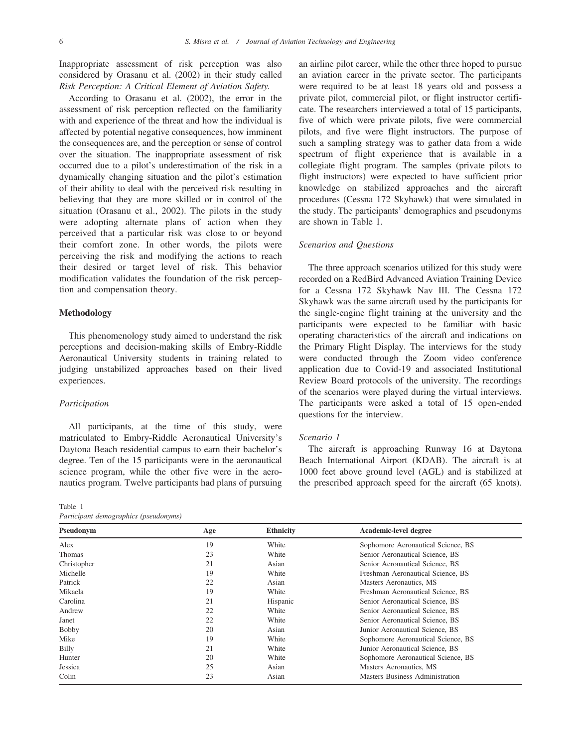Inappropriate assessment of risk perception was also considered by Orasanu et al. (2002) in their study called Risk Perception: A Critical Element of Aviation Safety.

According to Orasanu et al. (2002), the error in the assessment of risk perception reflected on the familiarity with and experience of the threat and how the individual is affected by potential negative consequences, how imminent the consequences are, and the perception or sense of control over the situation. The inappropriate assessment of risk occurred due to a pilot's underestimation of the risk in a dynamically changing situation and the pilot's estimation of their ability to deal with the perceived risk resulting in believing that they are more skilled or in control of the situation (Orasanu et al., 2002). The pilots in the study were adopting alternate plans of action when they perceived that a particular risk was close to or beyond their comfort zone. In other words, the pilots were perceiving the risk and modifying the actions to reach their desired or target level of risk. This behavior modification validates the foundation of the risk perception and compensation theory.

### Methodology

This phenomenology study aimed to understand the risk perceptions and decision-making skills of Embry-Riddle Aeronautical University students in training related to judging unstabilized approaches based on their lived experiences.

## Participation

All participants, at the time of this study, were matriculated to Embry-Riddle Aeronautical University's Daytona Beach residential campus to earn their bachelor's degree. Ten of the 15 participants were in the aeronautical science program, while the other five were in the aeronautics program. Twelve participants had plans of pursuing

Table 1 Participant demographics (pseudonyms)

an airline pilot career, while the other three hoped to pursue an aviation career in the private sector. The participants were required to be at least 18 years old and possess a private pilot, commercial pilot, or flight instructor certificate. The researchers interviewed a total of 15 participants, five of which were private pilots, five were commercial pilots, and five were flight instructors. The purpose of such a sampling strategy was to gather data from a wide spectrum of flight experience that is available in a collegiate flight program. The samples (private pilots to flight instructors) were expected to have sufficient prior knowledge on stabilized approaches and the aircraft procedures (Cessna 172 Skyhawk) that were simulated in the study. The participants' demographics and pseudonyms are shown in Table 1.

## Scenarios and Questions

The three approach scenarios utilized for this study were recorded on a RedBird Advanced Aviation Training Device for a Cessna 172 Skyhawk Nav III. The Cessna 172 Skyhawk was the same aircraft used by the participants for the single-engine flight training at the university and the participants were expected to be familiar with basic operating characteristics of the aircraft and indications on the Primary Flight Display. The interviews for the study were conducted through the Zoom video conference application due to Covid-19 and associated Institutional Review Board protocols of the university. The recordings of the scenarios were played during the virtual interviews. The participants were asked a total of 15 open-ended questions for the interview.

#### Scenario 1

The aircraft is approaching Runway 16 at Daytona Beach International Airport (KDAB). The aircraft is at 1000 feet above ground level (AGL) and is stabilized at the prescribed approach speed for the aircraft (65 knots).

| <i>i aracipani acmographics</i> ( <i>pscuaonymis</i> ) |     |                  |                                        |  |
|--------------------------------------------------------|-----|------------------|----------------------------------------|--|
| Pseudonym                                              | Age | <b>Ethnicity</b> | Academic-level degree                  |  |
| Alex                                                   | 19  | White            | Sophomore Aeronautical Science, BS     |  |
| Thomas                                                 | 23  | White            | Senior Aeronautical Science, BS        |  |
| Christopher                                            | 21  | Asian            | Senior Aeronautical Science, BS        |  |
| Michelle                                               | 19  | White            | Freshman Aeronautical Science, BS      |  |
| Patrick                                                | 22  | Asian            | Masters Aeronautics, MS                |  |
| Mikaela                                                | 19  | White            | Freshman Aeronautical Science, BS      |  |
| Carolina                                               | 21  | Hispanic         | Senior Aeronautical Science, BS        |  |
| Andrew                                                 | 22  | White            | Senior Aeronautical Science, BS        |  |
| Janet                                                  | 22  | White            | Senior Aeronautical Science, BS        |  |
| <b>Bobby</b>                                           | 20  | Asian            | Junior Aeronautical Science, BS        |  |
| Mike                                                   | 19  | White            | Sophomore Aeronautical Science, BS     |  |
| Billy                                                  | 21  | White            | Junior Aeronautical Science, BS        |  |
| Hunter                                                 | 20  | White            | Sophomore Aeronautical Science, BS     |  |
| Jessica                                                | 25  | Asian            | Masters Aeronautics, MS                |  |
| Colin                                                  | 23  | Asian            | <b>Masters Business Administration</b> |  |
|                                                        |     |                  |                                        |  |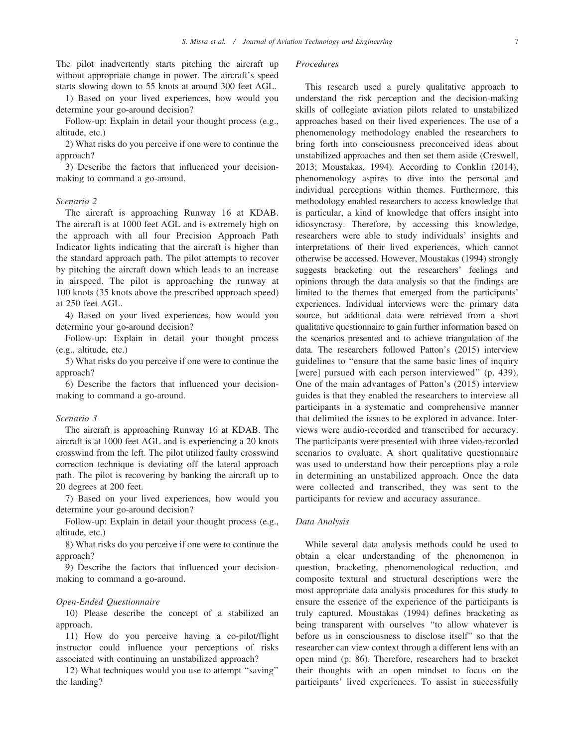The pilot inadvertently starts pitching the aircraft up without appropriate change in power. The aircraft's speed starts slowing down to 55 knots at around 300 feet AGL.

1) Based on your lived experiences, how would you determine your go-around decision?

Follow-up: Explain in detail your thought process (e.g., altitude, etc.)

2) What risks do you perceive if one were to continue the approach?

3) Describe the factors that influenced your decisionmaking to command a go-around.

## Scenario 2

The aircraft is approaching Runway 16 at KDAB. The aircraft is at 1000 feet AGL and is extremely high on the approach with all four Precision Approach Path Indicator lights indicating that the aircraft is higher than the standard approach path. The pilot attempts to recover by pitching the aircraft down which leads to an increase in airspeed. The pilot is approaching the runway at 100 knots (35 knots above the prescribed approach speed) at 250 feet AGL.

4) Based on your lived experiences, how would you determine your go-around decision?

Follow-up: Explain in detail your thought process (e.g., altitude, etc.)

5) What risks do you perceive if one were to continue the approach?

6) Describe the factors that influenced your decisionmaking to command a go-around.

### Scenario 3

The aircraft is approaching Runway 16 at KDAB. The aircraft is at 1000 feet AGL and is experiencing a 20 knots crosswind from the left. The pilot utilized faulty crosswind correction technique is deviating off the lateral approach path. The pilot is recovering by banking the aircraft up to 20 degrees at 200 feet.

7) Based on your lived experiences, how would you determine your go-around decision?

Follow-up: Explain in detail your thought process (e.g., altitude, etc.)

8) What risks do you perceive if one were to continue the approach?

9) Describe the factors that influenced your decisionmaking to command a go-around.

## Open-Ended Questionnaire

10) Please describe the concept of a stabilized an approach.

11) How do you perceive having a co-pilot/flight instructor could influence your perceptions of risks associated with continuing an unstabilized approach?

12) What techniques would you use to attempt ''saving'' the landing?

### Procedures

This research used a purely qualitative approach to understand the risk perception and the decision-making skills of collegiate aviation pilots related to unstabilized approaches based on their lived experiences. The use of a phenomenology methodology enabled the researchers to bring forth into consciousness preconceived ideas about unstabilized approaches and then set them aside (Creswell, 2013; Moustakas, 1994). According to Conklin (2014), phenomenology aspires to dive into the personal and individual perceptions within themes. Furthermore, this methodology enabled researchers to access knowledge that is particular, a kind of knowledge that offers insight into idiosyncrasy. Therefore, by accessing this knowledge, researchers were able to study individuals' insights and interpretations of their lived experiences, which cannot otherwise be accessed. However, Moustakas (1994) strongly suggests bracketing out the researchers' feelings and opinions through the data analysis so that the findings are limited to the themes that emerged from the participants' experiences. Individual interviews were the primary data source, but additional data were retrieved from a short qualitative questionnaire to gain further information based on the scenarios presented and to achieve triangulation of the data. The researchers followed Patton's (2015) interview guidelines to ''ensure that the same basic lines of inquiry [were] pursued with each person interviewed" (p. 439). One of the main advantages of Patton's (2015) interview guides is that they enabled the researchers to interview all participants in a systematic and comprehensive manner that delimited the issues to be explored in advance. Interviews were audio-recorded and transcribed for accuracy. The participants were presented with three video-recorded scenarios to evaluate. A short qualitative questionnaire was used to understand how their perceptions play a role in determining an unstabilized approach. Once the data were collected and transcribed, they was sent to the participants for review and accuracy assurance.

## Data Analysis

While several data analysis methods could be used to obtain a clear understanding of the phenomenon in question, bracketing, phenomenological reduction, and composite textural and structural descriptions were the most appropriate data analysis procedures for this study to ensure the essence of the experience of the participants is truly captured. Moustakas (1994) defines bracketing as being transparent with ourselves ''to allow whatever is before us in consciousness to disclose itself'' so that the researcher can view context through a different lens with an open mind (p. 86). Therefore, researchers had to bracket their thoughts with an open mindset to focus on the participants' lived experiences. To assist in successfully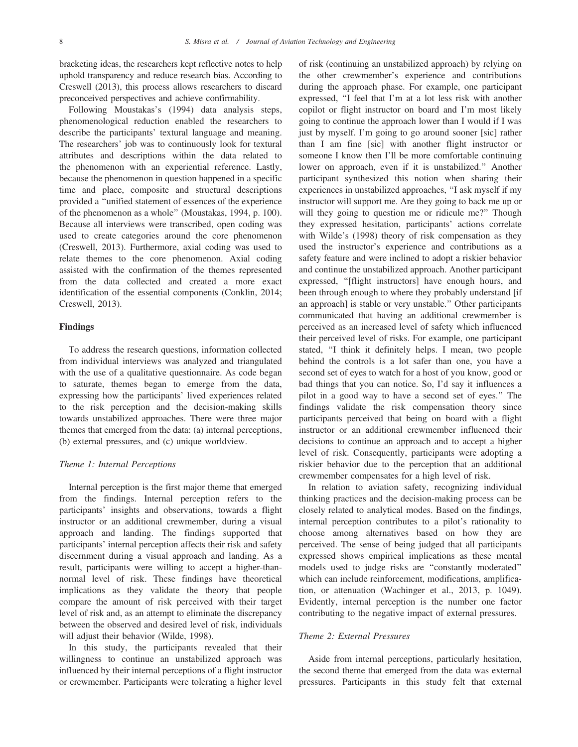bracketing ideas, the researchers kept reflective notes to help uphold transparency and reduce research bias. According to Creswell (2013), this process allows researchers to discard preconceived perspectives and achieve confirmability.

Following Moustakas's (1994) data analysis steps, phenomenological reduction enabled the researchers to describe the participants' textural language and meaning. The researchers' job was to continuously look for textural attributes and descriptions within the data related to the phenomenon with an experiential reference. Lastly, because the phenomenon in question happened in a specific time and place, composite and structural descriptions provided a ''unified statement of essences of the experience of the phenomenon as a whole'' (Moustakas, 1994, p. 100). Because all interviews were transcribed, open coding was used to create categories around the core phenomenon (Creswell, 2013). Furthermore, axial coding was used to relate themes to the core phenomenon. Axial coding assisted with the confirmation of the themes represented from the data collected and created a more exact identification of the essential components (Conklin, 2014; Creswell, 2013).

## Findings

To address the research questions, information collected from individual interviews was analyzed and triangulated with the use of a qualitative questionnaire. As code began to saturate, themes began to emerge from the data, expressing how the participants' lived experiences related to the risk perception and the decision-making skills towards unstabilized approaches. There were three major themes that emerged from the data: (a) internal perceptions, (b) external pressures, and (c) unique worldview.

#### Theme 1: Internal Perceptions

Internal perception is the first major theme that emerged from the findings. Internal perception refers to the participants' insights and observations, towards a flight instructor or an additional crewmember, during a visual approach and landing. The findings supported that participants' internal perception affects their risk and safety discernment during a visual approach and landing. As a result, participants were willing to accept a higher-thannormal level of risk. These findings have theoretical implications as they validate the theory that people compare the amount of risk perceived with their target level of risk and, as an attempt to eliminate the discrepancy between the observed and desired level of risk, individuals will adjust their behavior (Wilde, 1998).

In this study, the participants revealed that their willingness to continue an unstabilized approach was influenced by their internal perceptions of a flight instructor or crewmember. Participants were tolerating a higher level of risk (continuing an unstabilized approach) by relying on the other crewmember's experience and contributions during the approach phase. For example, one participant expressed, ''I feel that I'm at a lot less risk with another copilot or flight instructor on board and I'm most likely going to continue the approach lower than I would if I was just by myself. I'm going to go around sooner [sic] rather than I am fine [sic] with another flight instructor or someone I know then I'll be more comfortable continuing lower on approach, even if it is unstabilized.'' Another participant synthesized this notion when sharing their experiences in unstabilized approaches, ''I ask myself if my instructor will support me. Are they going to back me up or will they going to question me or ridicule me?'' Though they expressed hesitation, participants' actions correlate with Wilde's (1998) theory of risk compensation as they used the instructor's experience and contributions as a safety feature and were inclined to adopt a riskier behavior and continue the unstabilized approach. Another participant expressed, ''[flight instructors] have enough hours, and been through enough to where they probably understand [if an approach] is stable or very unstable.'' Other participants communicated that having an additional crewmember is perceived as an increased level of safety which influenced their perceived level of risks. For example, one participant stated, ''I think it definitely helps. I mean, two people behind the controls is a lot safer than one, you have a second set of eyes to watch for a host of you know, good or bad things that you can notice. So, I'd say it influences a pilot in a good way to have a second set of eyes.'' The findings validate the risk compensation theory since participants perceived that being on board with a flight instructor or an additional crewmember influenced their decisions to continue an approach and to accept a higher level of risk. Consequently, participants were adopting a riskier behavior due to the perception that an additional crewmember compensates for a high level of risk.

In relation to aviation safety, recognizing individual thinking practices and the decision-making process can be closely related to analytical modes. Based on the findings, internal perception contributes to a pilot's rationality to choose among alternatives based on how they are perceived. The sense of being judged that all participants expressed shows empirical implications as these mental models used to judge risks are ''constantly moderated'' which can include reinforcement, modifications, amplification, or attenuation (Wachinger et al., 2013, p. 1049). Evidently, internal perception is the number one factor contributing to the negative impact of external pressures.

## Theme 2: External Pressures

Aside from internal perceptions, particularly hesitation, the second theme that emerged from the data was external pressures. Participants in this study felt that external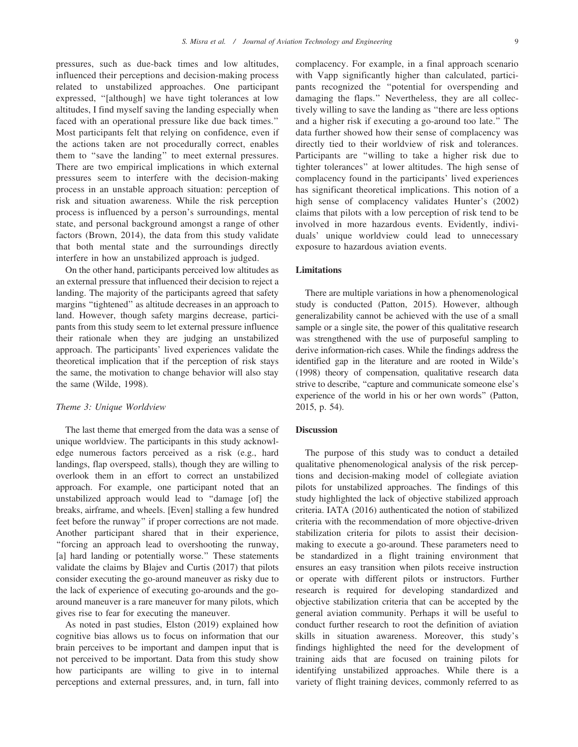pressures, such as due-back times and low altitudes, influenced their perceptions and decision-making process related to unstabilized approaches. One participant expressed, ''[although] we have tight tolerances at low altitudes, I find myself saving the landing especially when faced with an operational pressure like due back times.'' Most participants felt that relying on confidence, even if the actions taken are not procedurally correct, enables them to "save the landing" to meet external pressures. There are two empirical implications in which external pressures seem to interfere with the decision-making process in an unstable approach situation: perception of risk and situation awareness. While the risk perception process is influenced by a person's surroundings, mental state, and personal background amongst a range of other factors (Brown, 2014), the data from this study validate that both mental state and the surroundings directly interfere in how an unstabilized approach is judged.

On the other hand, participants perceived low altitudes as an external pressure that influenced their decision to reject a landing. The majority of the participants agreed that safety margins ''tightened'' as altitude decreases in an approach to land. However, though safety margins decrease, participants from this study seem to let external pressure influence their rationale when they are judging an unstabilized approach. The participants' lived experiences validate the theoretical implication that if the perception of risk stays the same, the motivation to change behavior will also stay the same (Wilde, 1998).

#### Theme 3: Unique Worldview

The last theme that emerged from the data was a sense of unique worldview. The participants in this study acknowledge numerous factors perceived as a risk (e.g., hard landings, flap overspeed, stalls), though they are willing to overlook them in an effort to correct an unstabilized approach. For example, one participant noted that an unstabilized approach would lead to ''damage [of] the breaks, airframe, and wheels. [Even] stalling a few hundred feet before the runway'' if proper corrections are not made. Another participant shared that in their experience, ''forcing an approach lead to overshooting the runway, [a] hard landing or potentially worse.'' These statements validate the claims by Blajev and Curtis (2017) that pilots consider executing the go-around maneuver as risky due to the lack of experience of executing go-arounds and the goaround maneuver is a rare maneuver for many pilots, which gives rise to fear for executing the maneuver.

As noted in past studies, Elston (2019) explained how cognitive bias allows us to focus on information that our brain perceives to be important and dampen input that is not perceived to be important. Data from this study show how participants are willing to give in to internal perceptions and external pressures, and, in turn, fall into complacency. For example, in a final approach scenario with Vapp significantly higher than calculated, participants recognized the ''potential for overspending and damaging the flaps.'' Nevertheless, they are all collectively willing to save the landing as ''there are less options and a higher risk if executing a go-around too late.'' The data further showed how their sense of complacency was directly tied to their worldview of risk and tolerances. Participants are ''willing to take a higher risk due to tighter tolerances'' at lower altitudes. The high sense of complacency found in the participants' lived experiences has significant theoretical implications. This notion of a high sense of complacency validates Hunter's (2002) claims that pilots with a low perception of risk tend to be involved in more hazardous events. Evidently, individuals' unique worldview could lead to unnecessary exposure to hazardous aviation events.

## Limitations

There are multiple variations in how a phenomenological study is conducted (Patton, 2015). However, although generalizability cannot be achieved with the use of a small sample or a single site, the power of this qualitative research was strengthened with the use of purposeful sampling to derive information-rich cases. While the findings address the identified gap in the literature and are rooted in Wilde's (1998) theory of compensation, qualitative research data strive to describe, "capture and communicate someone else's experience of the world in his or her own words'' (Patton, 2015, p. 54).

## **Discussion**

The purpose of this study was to conduct a detailed qualitative phenomenological analysis of the risk perceptions and decision-making model of collegiate aviation pilots for unstabilized approaches. The findings of this study highlighted the lack of objective stabilized approach criteria. IATA (2016) authenticated the notion of stabilized criteria with the recommendation of more objective-driven stabilization criteria for pilots to assist their decisionmaking to execute a go-around. These parameters need to be standardized in a flight training environment that ensures an easy transition when pilots receive instruction or operate with different pilots or instructors. Further research is required for developing standardized and objective stabilization criteria that can be accepted by the general aviation community. Perhaps it will be useful to conduct further research to root the definition of aviation skills in situation awareness. Moreover, this study's findings highlighted the need for the development of training aids that are focused on training pilots for identifying unstabilized approaches. While there is a variety of flight training devices, commonly referred to as